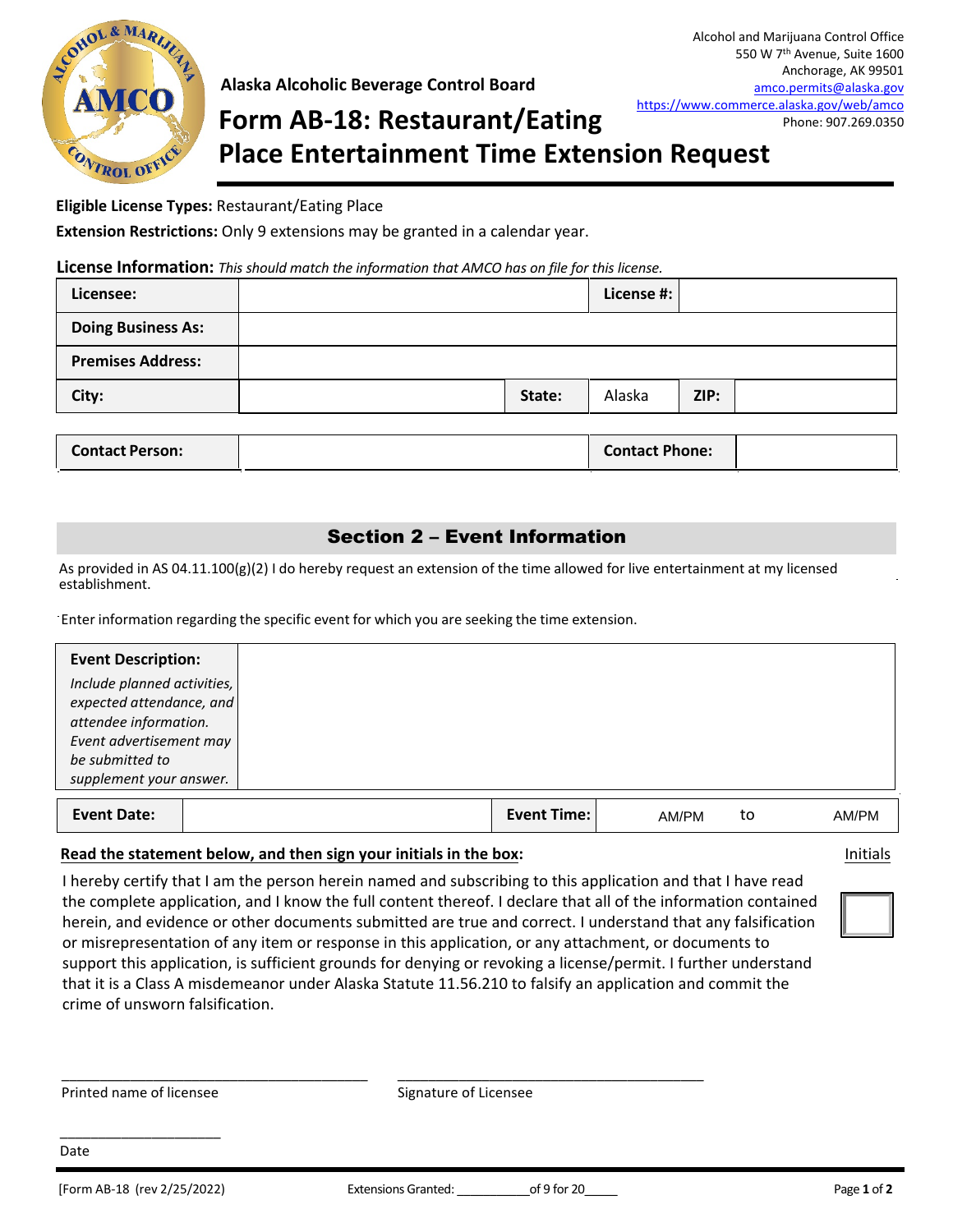

### **Alaska Alcoholic Beverage Control Board**

# **Form AB-18: Restaurant/Eating Place Entertainment Time Extension Request**

#### **Eligible License Types:** Restaurant/Eating Place

**Extension Restrictions:** Only 9 extensions may be granted in a calendar year.

#### **License Information:** *This should match the information that AMCO has on file for this license.*

| Licensee:                 |        | License #:            |      |  |
|---------------------------|--------|-----------------------|------|--|
| <b>Doing Business As:</b> |        |                       |      |  |
| <b>Premises Address:</b>  |        |                       |      |  |
| City:                     | State: | Alaska                | ZIP: |  |
|                           |        |                       |      |  |
| <b>Contact Person:</b>    |        | <b>Contact Phone:</b> |      |  |

## Section 2 – Event Information

As provided in AS 04.11.100(g)(2) I do hereby request an extension of the time allowed for live entertainment at my licensed establishment.

Enter information regarding the specific event for which you are seeking the time extension.

| <b>Event Description:</b>   |                    |       |    |  |
|-----------------------------|--------------------|-------|----|--|
| Include planned activities, |                    |       |    |  |
| expected attendance, and    |                    |       |    |  |
| attendee information.       |                    |       |    |  |
| Event advertisement may     |                    |       |    |  |
| be submitted to             |                    |       |    |  |
| supplement your answer.     |                    |       |    |  |
|                             |                    |       |    |  |
| <b>Event Date:</b>          | <b>Event Time:</b> | AM/PM | to |  |

#### **Read the statement below, and then sign your initials in the box:** Initials

I hereby certify that I am the person herein named and subscribing to this application and that I have read the complete application, and I know the full content thereof. I declare that all of the information contained herein, and evidence or other documents submitted are true and correct. I understand that any falsification or misrepresentation of any item or response in this application, or any attachment, or documents to support this application, is sufficient grounds for denying or revoking a license/permit. I further understand that it is a Class A misdemeanor under Alaska Statute 11.56.210 to falsify an application and commit the crime of unsworn falsification.

\_\_\_\_\_\_\_\_\_\_\_\_\_\_\_\_\_\_\_\_\_\_\_\_\_\_\_\_\_\_\_\_\_\_\_\_\_\_\_\_ \_\_\_\_\_\_\_\_\_\_\_\_\_\_\_\_\_\_\_\_\_\_\_\_\_\_\_\_\_\_\_\_\_\_\_\_\_\_\_\_

Printed name of licensee Signature of Licensee

\_\_\_\_\_\_\_\_\_\_\_\_\_\_\_\_\_\_\_\_\_

Date